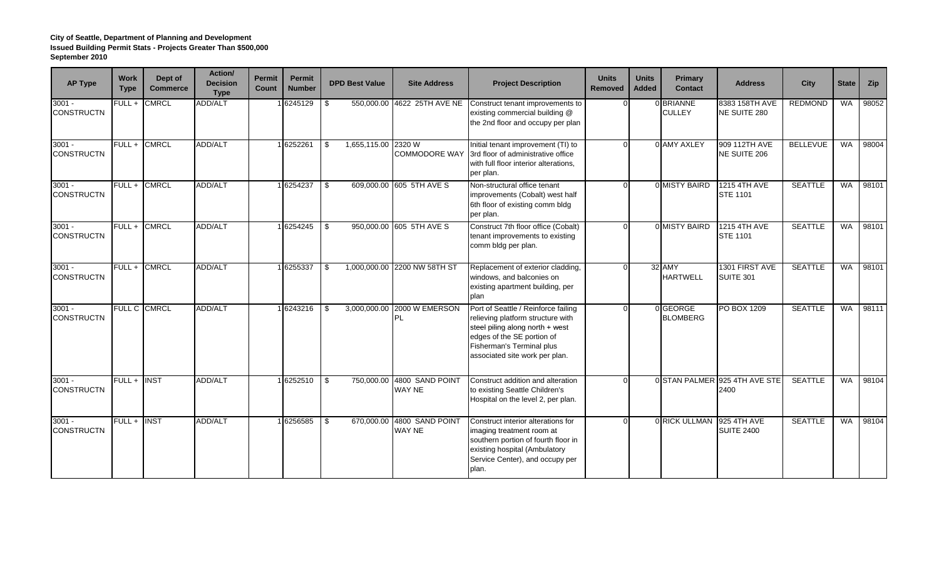| <b>AP Type</b>                | <b>Work</b><br><b>Type</b> | Dept of<br><b>Commerce</b> | Action/<br><b>Decision</b><br><b>Type</b> | Permit<br>Count | Permit<br><b>Number</b> |     | <b>DPD Best Value</b> | <b>Site Address</b>                  | <b>Project Description</b>                                                                                                                                                                               | <b>Units</b><br><b>Removed</b> | <b>Units</b><br><b>Added</b> | Primary<br><b>Contact</b>   | <b>Address</b>                         | <b>City</b>     | <b>State</b> | Zip   |
|-------------------------------|----------------------------|----------------------------|-------------------------------------------|-----------------|-------------------------|-----|-----------------------|--------------------------------------|----------------------------------------------------------------------------------------------------------------------------------------------------------------------------------------------------------|--------------------------------|------------------------------|-----------------------------|----------------------------------------|-----------------|--------------|-------|
| $3001 -$<br><b>CONSTRUCTN</b> | $FULL +$                   | <b>CMRCL</b>               | <b>ADD/ALT</b>                            |                 | 1 6245129               | -S  |                       | 550,000.00 4622 25TH AVE NE          | Construct tenant improvements to<br>existing commercial building @<br>the 2nd floor and occupy per plan                                                                                                  |                                |                              | 0 BRIANNE<br><b>CULLEY</b>  | 8383 158TH AVE<br>NE SUITE 280         | <b>REDMOND</b>  | <b>WA</b>    | 98052 |
| $3001 -$<br><b>CONSTRUCTN</b> | $FULL +$                   | <b>CMRCL</b>               | ADD/ALT                                   |                 | 1 6252261               | \$. | 1,655,115.00 2320 W   | <b>COMMODORE WAY</b>                 | Initial tenant improvement (TI) to<br>3rd floor of administrative office<br>with full floor interior alterations,<br>per plan.                                                                           |                                |                              | 0 AMY AXLEY                 | 909 112TH AVE<br>NE SUITE 206          | <b>BELLEVUE</b> | <b>WA</b>    | 98004 |
| $3001 -$<br><b>CONSTRUCTN</b> | $FULL +$                   | <b>CMRCL</b>               | ADD/ALT                                   |                 | 1 6254237               | -\$ |                       | 609.000.00 605 5TH AVE S             | Non-structural office tenant<br>improvements (Cobalt) west half<br>6th floor of existing comm bldg<br>per plan.                                                                                          |                                |                              | 0 MISTY BAIRD               | <b>1215 4TH AVE</b><br><b>STE 1101</b> | <b>SEATTLE</b>  | <b>WA</b>    | 98101 |
| $3001 -$<br><b>CONSTRUCTN</b> | FULL +                     | <b>CMRCL</b>               | ADD/ALT                                   |                 | 1 6254245               | -S  |                       | 950,000.00 605 5TH AVE S             | Construct 7th floor office (Cobalt)<br>tenant improvements to existing<br>comm bldg per plan.                                                                                                            | $\Omega$                       |                              | 0 MISTY BAIRD               | <b>1215 4TH AVE</b><br><b>STE 1101</b> | <b>SEATTLE</b>  | <b>WA</b>    | 98101 |
| $3001 -$<br><b>CONSTRUCTN</b> | $FULL +$                   | <b>CMRCL</b>               | <b>ADD/ALT</b>                            |                 | 16255337                |     |                       | 1,000,000.00 2200 NW 58TH ST         | Replacement of exterior cladding,<br>windows, and balconies on<br>existing apartment building, per<br>plan                                                                                               |                                |                              | 32 AMY<br><b>HARTWELL</b>   | 1301 FIRST AVE<br>SUITE 301            | <b>SEATTLE</b>  | <b>WA</b>    | 98101 |
| $3001 -$<br><b>CONSTRUCTN</b> |                            | FULL C CMRCL               | <b>ADD/ALT</b>                            |                 | 1 6243216               |     |                       | 3,000,000.00 2000 W EMERSON<br>PL    | Port of Seattle / Reinforce failing<br>relieving platform structure with<br>steel piling along north + west<br>edges of the SE portion of<br>Fisherman's Terminal plus<br>associated site work per plan. |                                |                              | 0 GEORGE<br><b>BLOMBERG</b> | PO BOX 1209                            | <b>SEATTLE</b>  | <b>WA</b>    | 98111 |
| $3001 -$<br><b>CONSTRUCTN</b> | $FULL +$                   | <b>INST</b>                | ADD/ALT                                   |                 | 1 6252510               | \$  |                       | 750,000.00 4800 SAND POINT<br>WAY NE | Construct addition and alteration<br>to existing Seattle Children's<br>Hospital on the level 2, per plan.                                                                                                | $\cap$                         |                              |                             | 0 STAN PALMER 925 4TH AVE STE<br>2400  | <b>SEATTLE</b>  | <b>WA</b>    | 98104 |
| $3001 -$<br><b>CONSTRUCTN</b> | $FULL +$                   | <b>INST</b>                | <b>ADD/ALT</b>                            |                 | 16256585                | \$. | 670.000.00            | 4800 SAND POINT<br>WAY NE            | Construct interior alterations for<br>imaging treatment room at<br>southern portion of fourth floor in<br>existing hospital (Ambulatory<br>Service Center), and occupy per<br>plan.                      |                                |                              | 0 RICK ULLMAN               | 925 4TH AVE<br><b>SUITE 2400</b>       | <b>SEATTLE</b>  | <b>WA</b>    | 98104 |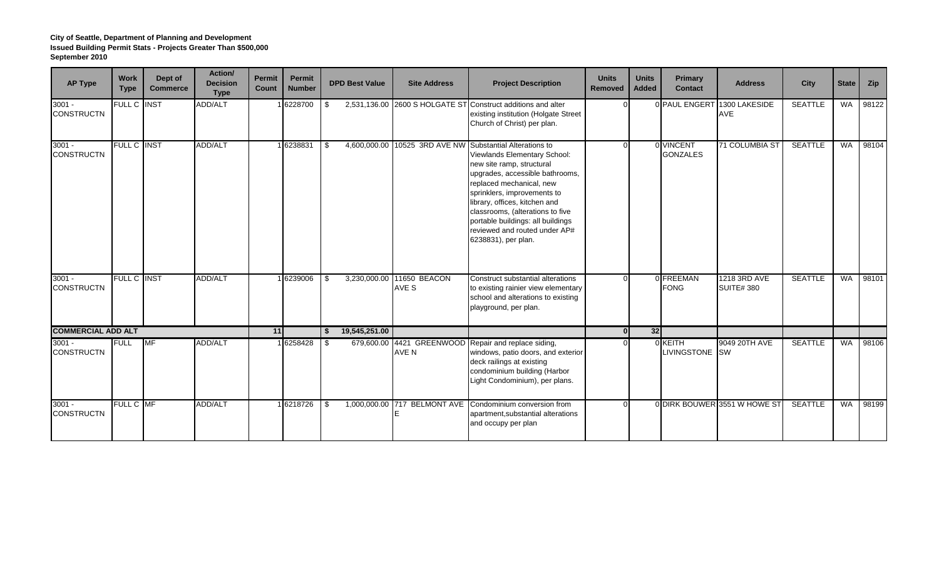| <b>AP Type</b>                | <b>Work</b><br><b>Type</b> | Dept of<br><b>Commerce</b> | Action/<br><b>Decision</b><br><b>Type</b> | <b>Permit</b><br>Count | Permit<br><b>Number</b> |      | <b>DPD Best Value</b> | <b>Site Address</b>          | <b>Project Description</b>                                                                                                                                                                                                                                                                                                                                               | <b>Units</b><br><b>Removed</b> | <b>Units</b><br><b>Added</b> | Primary<br><b>Contact</b>     | <b>Address</b>                   | City           | <b>State</b> | Zip   |
|-------------------------------|----------------------------|----------------------------|-------------------------------------------|------------------------|-------------------------|------|-----------------------|------------------------------|--------------------------------------------------------------------------------------------------------------------------------------------------------------------------------------------------------------------------------------------------------------------------------------------------------------------------------------------------------------------------|--------------------------------|------------------------------|-------------------------------|----------------------------------|----------------|--------------|-------|
| $3001 -$<br><b>CONSTRUCTN</b> | FULL C INST                |                            | ADD/ALT                                   |                        | 6228700                 | l \$ |                       |                              | 2,531,136.00 2600 S HOLGATE ST Construct additions and alter<br>existing institution (Holgate Street<br>Church of Christ) per plan.                                                                                                                                                                                                                                      |                                |                              | 0 PAUL ENGERT                 | 1300 LAKESIDE<br><b>AVE</b>      | <b>SEATTLE</b> | WA           | 98122 |
| $3001 -$<br><b>CONSTRUCTN</b> | FULL C INST                |                            | ADD/ALT                                   |                        | 1 6238831               |      | 4,600,000.00          |                              | 10525 3RD AVE NW Substantial Alterations to<br>Viewlands Elementary School:<br>new site ramp, structural<br>upgrades, accessible bathrooms,<br>replaced mechanical, new<br>sprinklers, improvements to<br>library, offices, kitchen and<br>classrooms, (alterations to five<br>portable buildings: all buildings<br>reviewed and routed under AP#<br>6238831), per plan. |                                |                              | 0 VINCENT<br><b>GONZALES</b>  | 71 COLUMBIA ST                   | <b>SEATTLE</b> | <b>WA</b>    | 98104 |
| $3001 -$<br><b>CONSTRUCTN</b> | <b>FULL C INST</b>         |                            | ADD/ALT                                   |                        | 16239006                | -\$  | 3,230,000.00          | 11650 BEACON<br>AVE S        | Construct substantial alterations<br>to existing rainier view elementary<br>school and alterations to existing<br>playground, per plan.                                                                                                                                                                                                                                  |                                |                              | 0 FREEMAN<br><b>FONG</b>      | 1218 3RD AVE<br><b>SUITE#380</b> | <b>SEATTLE</b> | <b>WA</b>    | 98101 |
| <b>COMMERCIAL ADD ALT</b>     |                            |                            |                                           | 11                     |                         | - \$ | 19,545,251.00         |                              |                                                                                                                                                                                                                                                                                                                                                                          | $\Omega$                       | 32                           |                               |                                  |                |              |       |
| $3001 -$<br><b>CONSTRUCTN</b> | <b>FULL</b>                | <b>MF</b>                  | <b>ADD/ALT</b>                            |                        | 1 6258428               | -SS  |                       | AVE N                        | 679,600.00 4421 GREENWOOD Repair and replace siding,<br>windows, patio doors, and exterior<br>deck railings at existing<br>condominium building (Harbor<br>Light Condominium), per plans.                                                                                                                                                                                |                                |                              | 0 KEITH<br><b>LIVINGSTONE</b> | 9049 20TH AVE<br><b>SW</b>       | <b>SEATTLE</b> | WA           | 98106 |
| $3001 -$<br><b>CONSTRUCTN</b> | FULL C MF                  |                            | <b>ADD/ALT</b>                            |                        | 6218726                 |      |                       | 1,000,000.00 717 BELMONT AVE | Condominium conversion from<br>apartment, substantial alterations<br>and occupy per plan                                                                                                                                                                                                                                                                                 |                                |                              |                               | 0 DIRK BOUWER 3551 W HOWE ST     | <b>SEATTLE</b> | <b>WA</b>    | 98199 |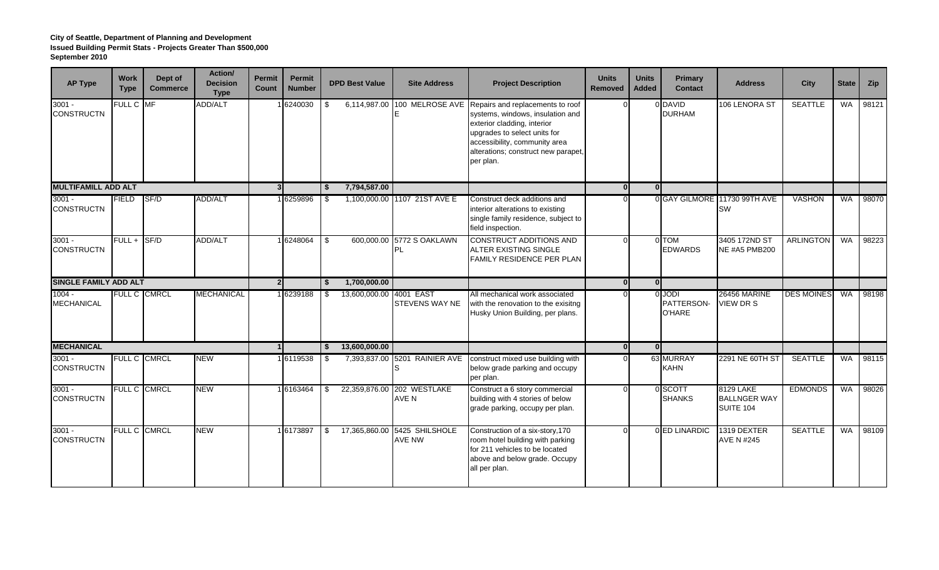| <b>AP Type</b>                | <b>Work</b><br><b>Type</b> | Dept of<br><b>Commerce</b> | Action/<br><b>Decision</b><br><b>Type</b> | <b>Permit</b><br>Count | <b>Permit</b><br><b>Number</b> |          | <b>DPD Best Value</b>   | <b>Site Address</b>           | <b>Project Description</b>                                                                                                                                                                                               | <b>Units</b><br><b>Removed</b> | <b>Units</b><br><b>Added</b> | Primary<br><b>Contact</b>             | <b>Address</b>                                | <b>City</b>       | <b>State</b> | <b>Zip</b> |
|-------------------------------|----------------------------|----------------------------|-------------------------------------------|------------------------|--------------------------------|----------|-------------------------|-------------------------------|--------------------------------------------------------------------------------------------------------------------------------------------------------------------------------------------------------------------------|--------------------------------|------------------------------|---------------------------------------|-----------------------------------------------|-------------------|--------------|------------|
| $3001 -$<br><b>CONSTRUCTN</b> | FULL C MF                  |                            | ADD/ALT                                   |                        | 6240030                        |          | 6,114,987.00            | 100 MELROSE AVE               | Repairs and replacements to roof<br>systems, windows, insulation and<br>exterior cladding, interior<br>upgrades to select units for<br>accessibility, community area<br>alterations; construct new parapet,<br>per plan. |                                |                              | 0 DAVID<br><b>DURHAM</b>              | 106 LENORA ST                                 | <b>SEATTLE</b>    | <b>WA</b>    | 98121      |
| <b>MULTIFAMILL ADD ALT</b>    |                            |                            |                                           | 3 <sup>1</sup>         |                                | - \$     | 7,794,587.00            |                               |                                                                                                                                                                                                                          | 0                              | 0l                           |                                       |                                               |                   |              |            |
| $3001 -$<br><b>CONSTRUCTN</b> | <b>FIELD</b>               | SF/D                       | <b>ADD/ALT</b>                            |                        | 16259896                       |          |                         | 1,100,000.00 1107 21ST AVE E  | Construct deck additions and<br>interior alterations to existing<br>single family residence, subject to<br>field inspection.                                                                                             |                                |                              |                                       | 0 GAY GILMORE 11730 99TH AVE<br><b>SW</b>     | <b>VASHON</b>     | <b>WA</b>    | 98070      |
| $3001 -$<br><b>CONSTRUCTN</b> | FULL +                     | SF/D                       | <b>ADD/ALT</b>                            |                        | 1 6248064                      | -\$      | 600,000.00              | 5772 S OAKLAWN<br><b>PL</b>   | <b>CONSTRUCT ADDITIONS AND</b><br>ALTER EXISTING SINGLE<br><b>FAMILY RESIDENCE PER PLAN</b>                                                                                                                              | U                              |                              | 0 TOM<br><b>EDWARDS</b>               | 3405 172ND ST<br><b>NE #A5 PMB200</b>         | <b>ARLINGTON</b>  | <b>WA</b>    | 98223      |
| <b>SINGLE FAMILY ADD ALT</b>  |                            |                            |                                           |                        | 2 <sub>1</sub>                 | - \$     | 1,700,000.00            |                               |                                                                                                                                                                                                                          | $\mathbf{0}$                   | 0l                           |                                       |                                               |                   |              |            |
| $1004 -$<br><b>MECHANICAL</b> |                            | FULL C CMRCL               | <b>MECHANICAL</b>                         |                        | 6239188                        |          | 13,600,000.00 4001 EAST | <b>STEVENS WAY NE</b>         | All mechanical work associated<br>with the renovation to the exisitng<br>Husky Union Building, per plans.                                                                                                                |                                |                              | <b>O</b> UODI<br>PATTERSON-<br>O'HARE | 26456 MARINE<br>VIEW DR S                     | <b>DES MOINES</b> | <b>WA</b>    | 98198      |
| <b>MECHANICAL</b>             |                            |                            |                                           | $\overline{1}$         |                                | <b>S</b> | 13,600,000.00           |                               |                                                                                                                                                                                                                          | 0l                             | - Ol                         |                                       |                                               |                   |              |            |
| $3001 -$<br><b>CONSTRUCTN</b> |                            | FULL C CMRCL               | <b>NEW</b>                                |                        | 16119538                       | - SS     |                         | 7,393,837.00 5201 RAINIER AVE | construct mixed use building with<br>below grade parking and occupy<br>per plan.                                                                                                                                         |                                |                              | 63 MURRAY<br><b>KAHN</b>              | 2291 NE 60TH ST                               | <b>SEATTLE</b>    | <b>WA</b>    | 98115      |
| $3001 -$<br><b>CONSTRUCTN</b> |                            | FULL C CMRCL               | <b>NEW</b>                                |                        | 16163464                       |          | 22,359,876.00           | 202 WESTLAKE<br>AVE N         | Construct a 6 story commercial<br>building with 4 stories of below<br>grade parking, occupy per plan.                                                                                                                    |                                |                              | 0 SCOTT<br><b>SHANKS</b>              | 8129 LAKE<br><b>BALLNGER WAY</b><br>SUITE 104 | <b>EDMONDS</b>    | <b>WA</b>    | 98026      |
| $3001 -$<br><b>CONSTRUCTN</b> |                            | FULL C CMRCL               | <b>NEW</b>                                |                        | 1 6173897                      |          | 17,365,860.00           | 5425 SHILSHOLE<br>AVE NW      | Construction of a six-story, 170<br>room hotel building with parking<br>for 211 vehicles to be located<br>above and below grade. Occupy<br>all per plan.                                                                 |                                |                              | 0 ED LINARDIC                         | 1319 DEXTER<br><b>AVE N #245</b>              | <b>SEATTLE</b>    | <b>WA</b>    | 98109      |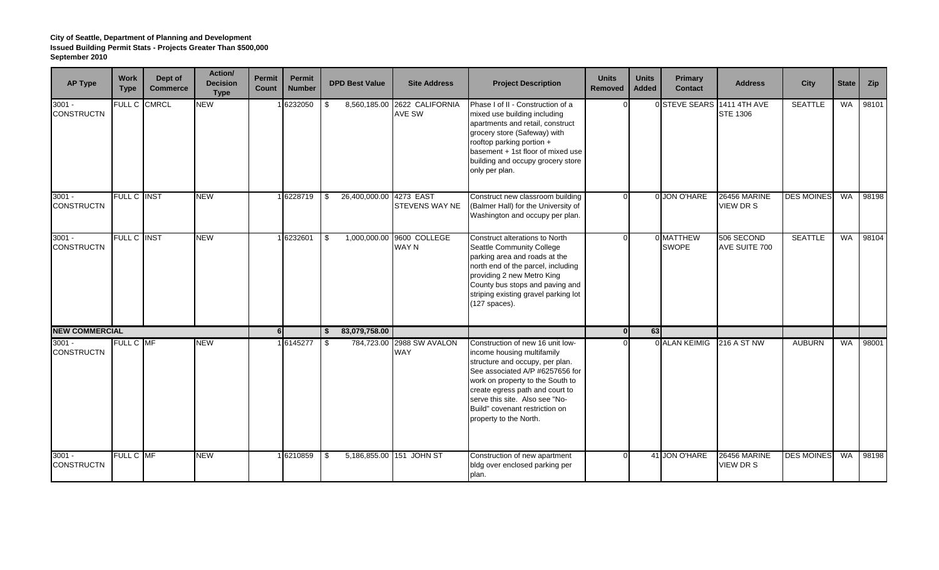| <b>AP Type</b>                | <b>Work</b><br><b>Type</b> | Dept of<br><b>Commerce</b> | Action/<br><b>Decision</b><br><b>Type</b> | <b>Permit</b><br><b>Count</b> | <b>Permit</b><br><b>Number</b> |      | <b>DPD Best Value</b> | <b>Site Address</b>                       | <b>Project Description</b>                                                                                                                                                                                                                                                                                | <b>Units</b><br><b>Removed</b> | <b>Units</b><br><b>Added</b> | Primary<br><b>Contact</b> | <b>Address</b>                   | City              | <b>State</b> | Zip   |
|-------------------------------|----------------------------|----------------------------|-------------------------------------------|-------------------------------|--------------------------------|------|-----------------------|-------------------------------------------|-----------------------------------------------------------------------------------------------------------------------------------------------------------------------------------------------------------------------------------------------------------------------------------------------------------|--------------------------------|------------------------------|---------------------------|----------------------------------|-------------------|--------------|-------|
| $3001 -$<br><b>CONSTRUCTN</b> | FULL C                     | <b>CMRCL</b>               | <b>NEW</b>                                |                               | 6232050                        | \$.  | 8,560,185.00          | 2622 CALIFORNIA<br>AVE SW                 | Phase I of II - Construction of a<br>mixed use building including<br>apartments and retail, construct<br>grocery store (Safeway) with<br>rooftop parking portion +<br>basement + 1st floor of mixed use<br>building and occupy grocery store<br>only per plan.                                            |                                |                              | 0 STEVE SEARS             | 1411 4TH AVE<br><b>STE 1306</b>  | <b>SEATTLE</b>    | <b>WA</b>    | 98101 |
| $3001 -$<br><b>CONSTRUCTN</b> | FULL C INST                |                            | <b>NEW</b>                                |                               | 6228719                        | -S   | 26,400,000.00         | 4273 EAST<br>STEVENS WAY NE               | Construct new classroom building<br>(Balmer Hall) for the University of<br>Washington and occupy per plan.                                                                                                                                                                                                |                                |                              | 0 JON O'HARE              | 26456 MARINE<br><b>VIEW DR S</b> | <b>DES MOINES</b> | <b>WA</b>    | 98198 |
| $3001 -$<br><b>CONSTRUCTN</b> | FULL C INST                |                            | <b>NEW</b>                                |                               | 1 6232601                      |      |                       | 1,000,000.00 9600 COLLEGE<br><b>WAY N</b> | Construct alterations to North<br>Seattle Community College<br>parking area and roads at the<br>north end of the parcel, including<br>providing 2 new Metro King<br>County bus stops and paving and<br>striping existing gravel parking lot<br>$(127$ spaces).                                            |                                |                              | 0 MATTHEW<br><b>SWOPE</b> | 506 SECOND<br>AVE SUITE 700      | <b>SEATTLE</b>    | <b>WA</b>    | 98104 |
| <b>NEW COMMERCIAL</b>         |                            |                            |                                           | 6 <sup>1</sup>                |                                | \$   | 83,079,758.00         |                                           |                                                                                                                                                                                                                                                                                                           | $\mathbf{0}$                   | 63                           |                           |                                  |                   |              |       |
| $3001 -$<br><b>CONSTRUCTN</b> | FULL C MF                  |                            | <b>NEW</b>                                |                               | 1 6145277                      | - \$ | 784,723.00            | 2988 SW AVALON<br><b>WAY</b>              | Construction of new 16 unit low-<br>income housing multifamily<br>structure and occupy, per plan.<br>See associated A/P #6257656 for<br>work on property to the South to<br>create egress path and court to<br>serve this site. Also see "No-<br>Build" covenant restriction on<br>property to the North. |                                |                              | 0 ALAN KEIMIG             | 216 A ST NW                      | <b>AUBURN</b>     | WA           | 98001 |
| $3001 -$<br><b>CONSTRUCTN</b> | FULL C MF                  |                            | <b>NEW</b>                                |                               | 6210859                        | \$   |                       | 5,186,855.00 151 JOHN ST                  | Construction of new apartment<br>bldg over enclosed parking per<br>plan.                                                                                                                                                                                                                                  |                                |                              | 41 JON O'HARE             | <b>26456 MARINE</b><br>VIEW DR S | <b>DES MOINES</b> | <b>WA</b>    | 98198 |